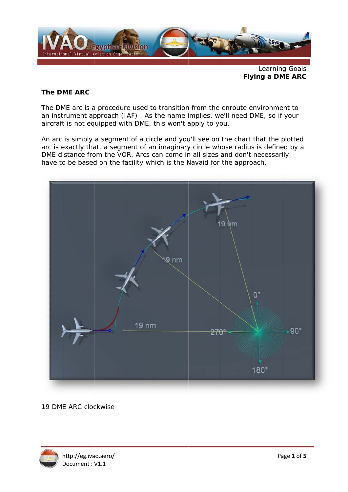

Learning Goals **Flying a DME ARC** 

### The DME ARC

The DME arc is a procedure used to transition from the enroute environment to an instrument approach (IAF). As the name implies, we'll need DME, so if your aircraft is not equipped with DME, this won't apply to you.

An arc is simply a segment of a circle and you'll see on the chart that the plotted arc is exactly that, a segment of an imaginary circle whose radius is defined by a DME distance from the VOR. Arcs can come in all sizes and don't necessarily have to be based on the facility which is the Navaid for the approach.



19 DME ARC clockwise

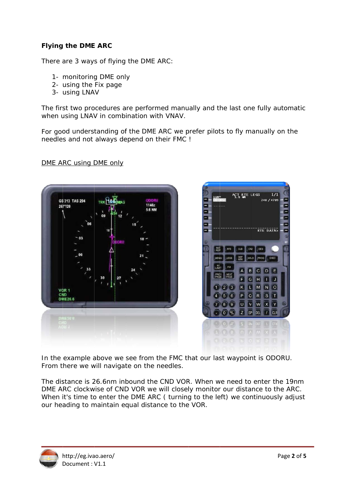# **Flying the DME ARC**

There are 3 ways of flying the DME ARC:

- 1- monitoring DME only
- 2- using the Fix page
- 3- using LNAV

The first two procedures are performed manually and the last one fully automatic when using LNAV in combination with VNAV.

For good understanding of the DME ARC we prefer pilots to fly manually on the needles and not always depend on their FMC !

GS 313 TAS 294 11467  $267*720$ 



In the example above we see from the FMC that our last waypoint is ODORU. From there we will navigate on the needles.

The distance is 26,6nm inbound the CND VOR. When we need to enter the 19nm DME ARC clockwise of CND VOR we will closely monitor our distance to the ARC. When it's time to enter the DME ARC (turning to the left) we continuously adjust our heading to maintain equal distance to the VOR.



CND

DME ARC using DME only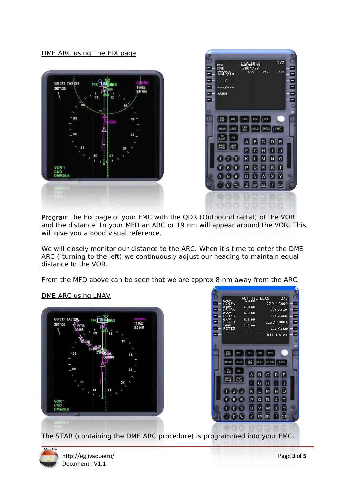DME ARC using The FIX page





Program the Fix page of your FMC with the QDR (Outbound radial) of the VOR and the distance. In your MFD an ARC or 19 nm will appear around the VOR. This will give you a good visual reference.

We will closely monitor our distance to the ARC. When it's time to enter the DME ARC (turning to the left) we continuously adjust our heading to maintain equal distance to the VOR.

From the MFD above can be seen that we are approx 8 nm away from the ARC.

# **GS 313 TAS:** 1146Z 267°/24 VOR 1<br>CND<br>DME26.6



The STAR (containing the DME ARC procedure) is programmed into your FMC.



DME ARC using LNAV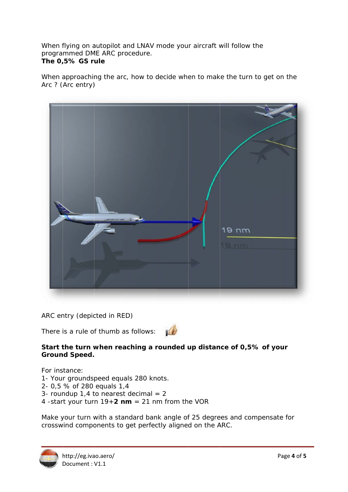When flying on autopilot and LNAV mode your aircraft will follow the programmed DME ARC procedure. The 0,5% GS rule

When approaching the arc, how to decide when to make the turn to get on the Arc ? (Arc entry)



ARC entry (depicted in RED)

There is a rule of thumb as follows:



## Start the turn when reaching a rounded up distance of 0,5% of your **Ground Speed.**

For instance:

1- Your groundspeed equals 280 knots.

2- 0,5 % of 280 equals 1,4

- 3- roundup 1,4 to nearest decimal  $= 2$
- 4 -start your turn  $19+2$  nm = 21 nm from the VOR

Make your turn with a standard bank angle of 25 degrees and compensate for crosswind components to get perfectly aligned on the ARC.